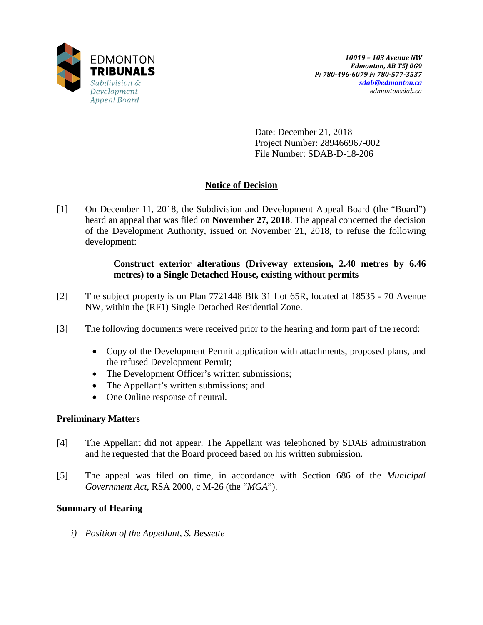

Date: December 21, 2018 Project Number: 289466967-002 File Number: SDAB-D-18-206

# **Notice of Decision**

[1] On December 11, 2018, the Subdivision and Development Appeal Board (the "Board") heard an appeal that was filed on **November 27, 2018**. The appeal concerned the decision of the Development Authority, issued on November 21, 2018, to refuse the following development:

### **Construct exterior alterations (Driveway extension, 2.40 metres by 6.46 metres) to a Single Detached House, existing without permits**

- [2] The subject property is on Plan 7721448 Blk 31 Lot 65R, located at 18535 70 Avenue NW, within the (RF1) Single Detached Residential Zone.
- [3] The following documents were received prior to the hearing and form part of the record:
	- Copy of the Development Permit application with attachments, proposed plans, and the refused Development Permit;
	- The Development Officer's written submissions;
	- The Appellant's written submissions; and
	- One Online response of neutral.

# **Preliminary Matters**

- [4] The Appellant did not appear. The Appellant was telephoned by SDAB administration and he requested that the Board proceed based on his written submission.
- [5] The appeal was filed on time, in accordance with Section 686 of the *Municipal Government Act*, RSA 2000, c M-26 (the "*MGA*").

# **Summary of Hearing**

*i) Position of the Appellant, S. Bessette*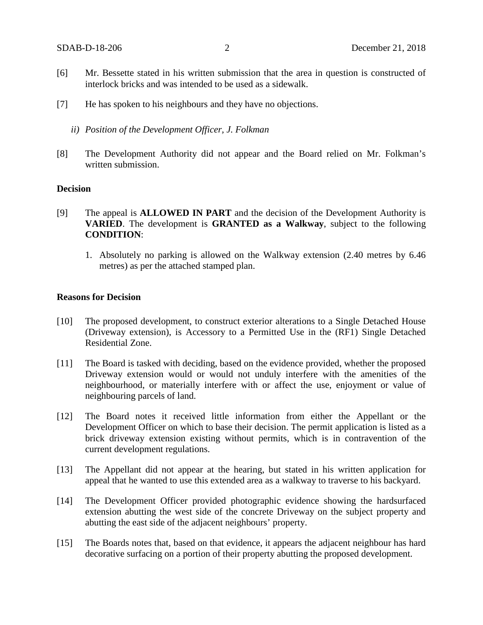- [6] Mr. Bessette stated in his written submission that the area in question is constructed of interlock bricks and was intended to be used as a sidewalk.
- [7] He has spoken to his neighbours and they have no objections.
	- *ii) Position of the Development Officer, J. Folkman*
- [8] The Development Authority did not appear and the Board relied on Mr. Folkman's written submission.

#### **Decision**

- [9] The appeal is **ALLOWED IN PART** and the decision of the Development Authority is **VARIED**. The development is **GRANTED as a Walkway**, subject to the following **CONDITION**:
	- 1. Absolutely no parking is allowed on the Walkway extension (2.40 metres by 6.46 metres) as per the attached stamped plan.

#### **Reasons for Decision**

- [10] The proposed development, to construct exterior alterations to a Single Detached House (Driveway extension), is Accessory to a Permitted Use in the (RF1) Single Detached Residential Zone.
- [11] The Board is tasked with deciding, based on the evidence provided, whether the proposed Driveway extension would or would not unduly interfere with the amenities of the neighbourhood, or materially interfere with or affect the use, enjoyment or value of neighbouring parcels of land.
- [12] The Board notes it received little information from either the Appellant or the Development Officer on which to base their decision. The permit application is listed as a brick driveway extension existing without permits, which is in contravention of the current development regulations.
- [13] The Appellant did not appear at the hearing, but stated in his written application for appeal that he wanted to use this extended area as a walkway to traverse to his backyard.
- [14] The Development Officer provided photographic evidence showing the hardsurfaced extension abutting the west side of the concrete Driveway on the subject property and abutting the east side of the adjacent neighbours' property.
- [15] The Boards notes that, based on that evidence, it appears the adjacent neighbour has hard decorative surfacing on a portion of their property abutting the proposed development.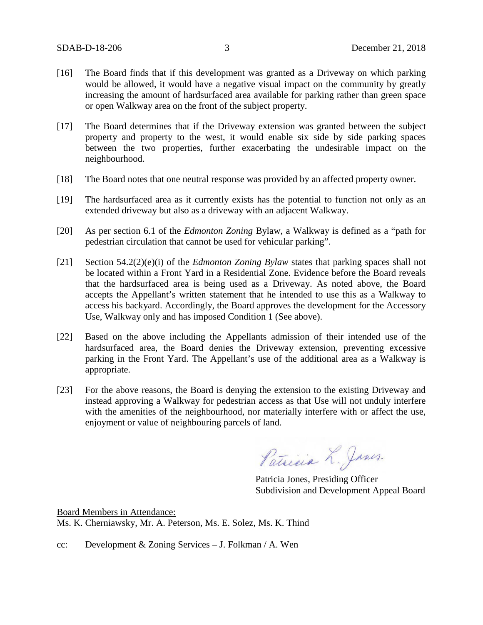- [16] The Board finds that if this development was granted as a Driveway on which parking would be allowed, it would have a negative visual impact on the community by greatly increasing the amount of hardsurfaced area available for parking rather than green space or open Walkway area on the front of the subject property.
- [17] The Board determines that if the Driveway extension was granted between the subject property and property to the west, it would enable six side by side parking spaces between the two properties, further exacerbating the undesirable impact on the neighbourhood.
- [18] The Board notes that one neutral response was provided by an affected property owner.
- [19] The hardsurfaced area as it currently exists has the potential to function not only as an extended driveway but also as a driveway with an adjacent Walkway.
- [20] As per section 6.1 of the *Edmonton Zoning* Bylaw, a Walkway is defined as a "path for pedestrian circulation that cannot be used for vehicular parking".
- [21] Section 54.2(2)(e)(i) of the *Edmonton Zoning Bylaw* states that parking spaces shall not be located within a Front Yard in a Residential Zone. Evidence before the Board reveals that the hardsurfaced area is being used as a Driveway. As noted above, the Board accepts the Appellant's written statement that he intended to use this as a Walkway to access his backyard. Accordingly, the Board approves the development for the Accessory Use, Walkway only and has imposed Condition 1 (See above).
- [22] Based on the above including the Appellants admission of their intended use of the hardsurfaced area, the Board denies the Driveway extension, preventing excessive parking in the Front Yard. The Appellant's use of the additional area as a Walkway is appropriate.
- [23] For the above reasons, the Board is denying the extension to the existing Driveway and instead approving a Walkway for pedestrian access as that Use will not unduly interfere with the amenities of the neighbourhood, nor materially interfere with or affect the use, enjoyment or value of neighbouring parcels of land.

Patricia L. Janes.

Patricia Jones, Presiding Officer Subdivision and Development Appeal Board

Board Members in Attendance: Ms. K. Cherniawsky, Mr. A. Peterson, Ms. E. Solez, Ms. K. Thind

cc: Development & Zoning Services – J. Folkman / A. Wen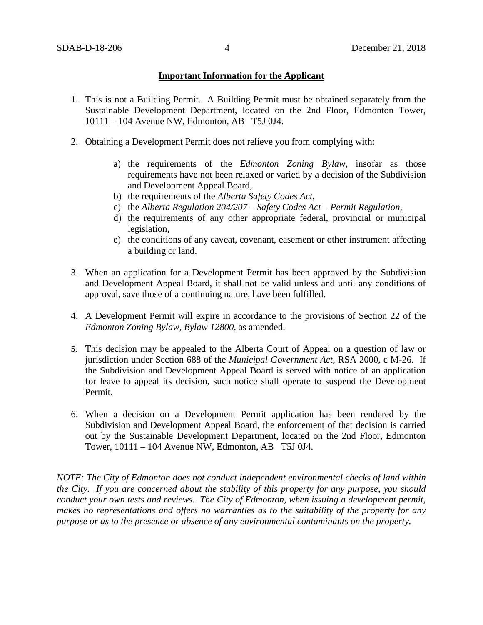### **Important Information for the Applicant**

- 1. This is not a Building Permit. A Building Permit must be obtained separately from the Sustainable Development Department, located on the 2nd Floor, Edmonton Tower, 10111 – 104 Avenue NW, Edmonton, AB T5J 0J4.
- 2. Obtaining a Development Permit does not relieve you from complying with:
	- a) the requirements of the *Edmonton Zoning Bylaw*, insofar as those requirements have not been relaxed or varied by a decision of the Subdivision and Development Appeal Board,
	- b) the requirements of the *Alberta Safety Codes Act*,
	- c) the *Alberta Regulation 204/207 – Safety Codes Act – Permit Regulation*,
	- d) the requirements of any other appropriate federal, provincial or municipal legislation,
	- e) the conditions of any caveat, covenant, easement or other instrument affecting a building or land.
- 3. When an application for a Development Permit has been approved by the Subdivision and Development Appeal Board, it shall not be valid unless and until any conditions of approval, save those of a continuing nature, have been fulfilled.
- 4. A Development Permit will expire in accordance to the provisions of Section 22 of the *Edmonton Zoning Bylaw, Bylaw 12800*, as amended.
- 5. This decision may be appealed to the Alberta Court of Appeal on a question of law or jurisdiction under Section 688 of the *Municipal Government Act*, RSA 2000, c M-26. If the Subdivision and Development Appeal Board is served with notice of an application for leave to appeal its decision, such notice shall operate to suspend the Development Permit.
- 6. When a decision on a Development Permit application has been rendered by the Subdivision and Development Appeal Board, the enforcement of that decision is carried out by the Sustainable Development Department, located on the 2nd Floor, Edmonton Tower, 10111 – 104 Avenue NW, Edmonton, AB T5J 0J4.

*NOTE: The City of Edmonton does not conduct independent environmental checks of land within the City. If you are concerned about the stability of this property for any purpose, you should conduct your own tests and reviews. The City of Edmonton, when issuing a development permit, makes no representations and offers no warranties as to the suitability of the property for any purpose or as to the presence or absence of any environmental contaminants on the property.*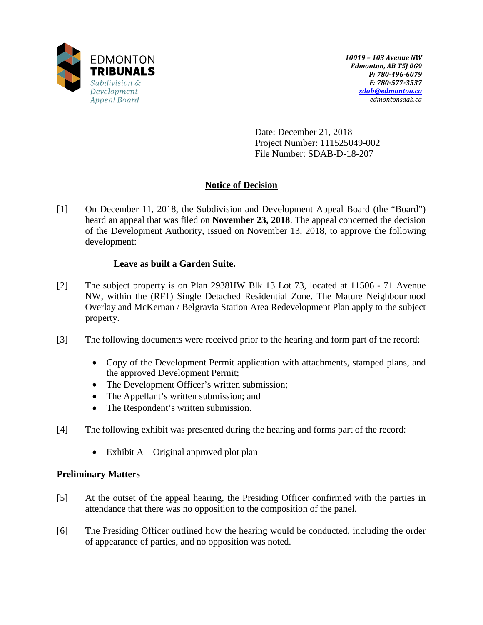

Date: December 21, 2018 Project Number: 111525049-002 File Number: SDAB-D-18-207

# **Notice of Decision**

[1] On December 11, 2018, the Subdivision and Development Appeal Board (the "Board") heard an appeal that was filed on **November 23, 2018**. The appeal concerned the decision of the Development Authority, issued on November 13, 2018, to approve the following development:

# **Leave as built a Garden Suite.**

- [2] The subject property is on Plan 2938HW Blk 13 Lot 73, located at 11506 71 Avenue NW, within the (RF1) Single Detached Residential Zone. The Mature Neighbourhood Overlay and McKernan / Belgravia Station Area Redevelopment Plan apply to the subject property.
- [3] The following documents were received prior to the hearing and form part of the record:
	- Copy of the Development Permit application with attachments, stamped plans, and the approved Development Permit;
	- The Development Officer's written submission;
	- The Appellant's written submission; and
	- The Respondent's written submission.
- [4] The following exhibit was presented during the hearing and forms part of the record:
	- Exhibit  $A Original$  approved plot plan

# **Preliminary Matters**

- [5] At the outset of the appeal hearing, the Presiding Officer confirmed with the parties in attendance that there was no opposition to the composition of the panel.
- [6] The Presiding Officer outlined how the hearing would be conducted, including the order of appearance of parties, and no opposition was noted.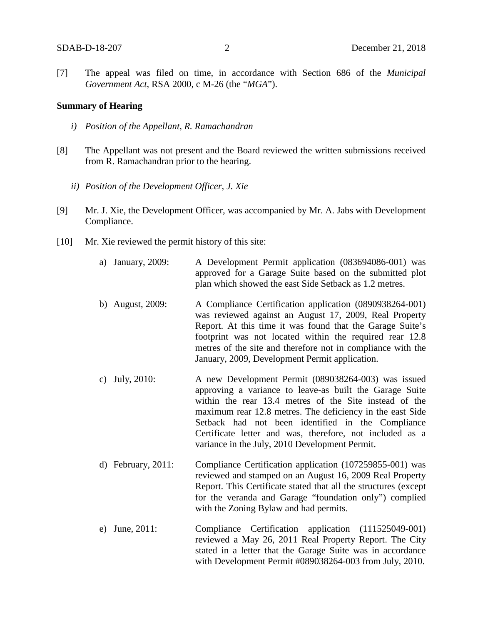[7] The appeal was filed on time, in accordance with Section 686 of the *Municipal Government Act*, RSA 2000, c M-26 (the "*MGA*").

#### **Summary of Hearing**

- *i) Position of the Appellant, R. Ramachandran*
- [8] The Appellant was not present and the Board reviewed the written submissions received from R. Ramachandran prior to the hearing.
	- *ii) Position of the Development Officer, J. Xie*
- [9] Mr. J. Xie, the Development Officer, was accompanied by Mr. A. Jabs with Development Compliance.
- [10] Mr. Xie reviewed the permit history of this site:
	- a) January, 2009: A Development Permit application (083694086-001) was approved for a Garage Suite based on the submitted plot plan which showed the east Side Setback as 1.2 metres.
	- b) August, 2009: A Compliance Certification application (0890938264-001) was reviewed against an August 17, 2009, Real Property Report. At this time it was found that the Garage Suite's footprint was not located within the required rear 12.8 metres of the site and therefore not in compliance with the January, 2009, Development Permit application.
	- c) July, 2010: A new Development Permit (089038264-003) was issued approving a variance to leave-as built the Garage Suite within the rear 13.4 metres of the Site instead of the maximum rear 12.8 metres. The deficiency in the east Side Setback had not been identified in the Compliance Certificate letter and was, therefore, not included as a variance in the July, 2010 Development Permit.
	- d) February, 2011: Compliance Certification application (107259855-001) was reviewed and stamped on an August 16, 2009 Real Property Report. This Certificate stated that all the structures (except for the veranda and Garage "foundation only") complied with the Zoning Bylaw and had permits.
	- e) June, 2011: Compliance Certification application (111525049-001) reviewed a May 26, 2011 Real Property Report. The City stated in a letter that the Garage Suite was in accordance with Development Permit #089038264-003 from July, 2010.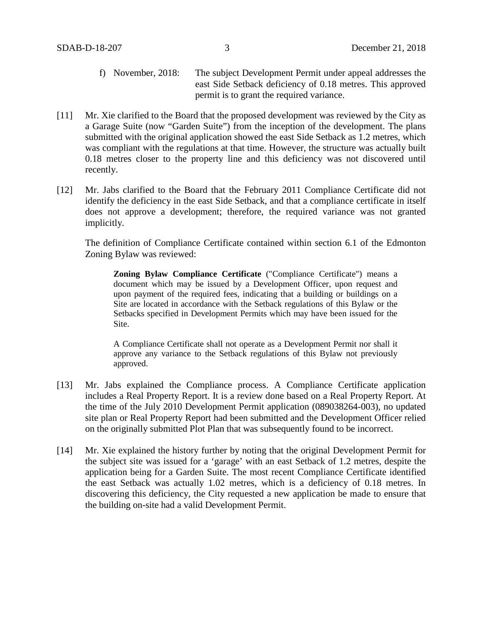- f) November, 2018: The subject Development Permit under appeal addresses the east Side Setback deficiency of 0.18 metres. This approved permit is to grant the required variance.
- [11] Mr. Xie clarified to the Board that the proposed development was reviewed by the City as a Garage Suite (now "Garden Suite") from the inception of the development. The plans submitted with the original application showed the east Side Setback as 1.2 metres, which was compliant with the regulations at that time. However, the structure was actually built 0.18 metres closer to the property line and this deficiency was not discovered until recently.
- [12] Mr. Jabs clarified to the Board that the February 2011 Compliance Certificate did not identify the deficiency in the east Side Setback, and that a compliance certificate in itself does not approve a development; therefore, the required variance was not granted implicitly.

The definition of Compliance Certificate contained within section 6.1 of the Edmonton Zoning Bylaw was reviewed:

**Zoning Bylaw Compliance Certificate** ("Compliance Certificate") means a document which may be issued by a Development Officer, upon request and upon payment of the required fees, indicating that a building or buildings on a Site are located in accordance with the Setback regulations of this Bylaw or the Setbacks specified in Development Permits which may have been issued for the Site.

A Compliance Certificate shall not operate as a Development Permit nor shall it approve any variance to the Setback regulations of this Bylaw not previously approved.

- [13] Mr. Jabs explained the Compliance process. A Compliance Certificate application includes a Real Property Report. It is a review done based on a Real Property Report. At the time of the July 2010 Development Permit application (089038264-003), no updated site plan or Real Property Report had been submitted and the Development Officer relied on the originally submitted Plot Plan that was subsequently found to be incorrect.
- [14] Mr. Xie explained the history further by noting that the original Development Permit for the subject site was issued for a 'garage' with an east Setback of 1.2 metres, despite the application being for a Garden Suite. The most recent Compliance Certificate identified the east Setback was actually 1.02 metres, which is a deficiency of 0.18 metres. In discovering this deficiency, the City requested a new application be made to ensure that the building on-site had a valid Development Permit.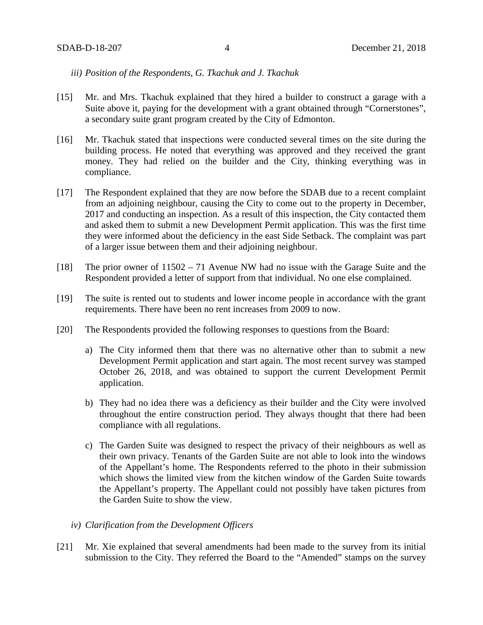#### *iii) Position of the Respondents, G. Tkachuk and J. Tkachuk*

- [15] Mr. and Mrs. Tkachuk explained that they hired a builder to construct a garage with a Suite above it, paying for the development with a grant obtained through "Cornerstones", a secondary suite grant program created by the City of Edmonton.
- [16] Mr. Tkachuk stated that inspections were conducted several times on the site during the building process. He noted that everything was approved and they received the grant money. They had relied on the builder and the City, thinking everything was in compliance.
- [17] The Respondent explained that they are now before the SDAB due to a recent complaint from an adjoining neighbour, causing the City to come out to the property in December, 2017 and conducting an inspection. As a result of this inspection, the City contacted them and asked them to submit a new Development Permit application. This was the first time they were informed about the deficiency in the east Side Setback. The complaint was part of a larger issue between them and their adjoining neighbour.
- [18] The prior owner of 11502 71 Avenue NW had no issue with the Garage Suite and the Respondent provided a letter of support from that individual. No one else complained.
- [19] The suite is rented out to students and lower income people in accordance with the grant requirements. There have been no rent increases from 2009 to now.
- [20] The Respondents provided the following responses to questions from the Board:
	- a) The City informed them that there was no alternative other than to submit a new Development Permit application and start again. The most recent survey was stamped October 26, 2018, and was obtained to support the current Development Permit application.
	- b) They had no idea there was a deficiency as their builder and the City were involved throughout the entire construction period. They always thought that there had been compliance with all regulations.
	- c) The Garden Suite was designed to respect the privacy of their neighbours as well as their own privacy. Tenants of the Garden Suite are not able to look into the windows of the Appellant's home. The Respondents referred to the photo in their submission which shows the limited view from the kitchen window of the Garden Suite towards the Appellant's property. The Appellant could not possibly have taken pictures from the Garden Suite to show the view.
	- *iv) Clarification from the Development Officers*
- [21] Mr. Xie explained that several amendments had been made to the survey from its initial submission to the City. They referred the Board to the "Amended" stamps on the survey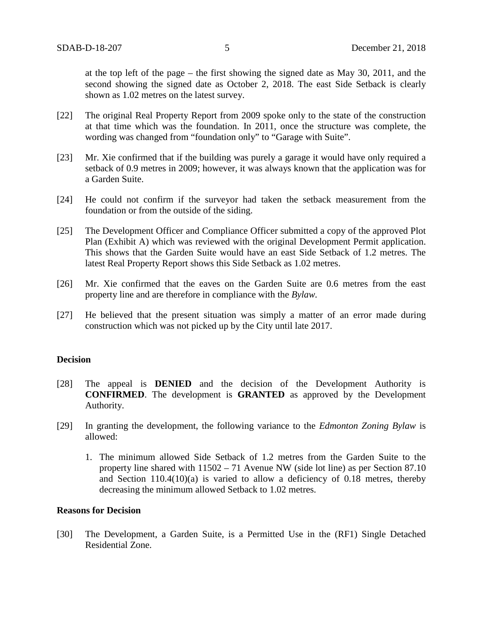at the top left of the page – the first showing the signed date as May 30, 2011, and the second showing the signed date as October 2, 2018. The east Side Setback is clearly shown as 1.02 metres on the latest survey.

- [22] The original Real Property Report from 2009 spoke only to the state of the construction at that time which was the foundation. In 2011, once the structure was complete, the wording was changed from "foundation only" to "Garage with Suite".
- [23] Mr. Xie confirmed that if the building was purely a garage it would have only required a setback of 0.9 metres in 2009; however, it was always known that the application was for a Garden Suite.
- [24] He could not confirm if the surveyor had taken the setback measurement from the foundation or from the outside of the siding.
- [25] The Development Officer and Compliance Officer submitted a copy of the approved Plot Plan (Exhibit A) which was reviewed with the original Development Permit application. This shows that the Garden Suite would have an east Side Setback of 1.2 metres. The latest Real Property Report shows this Side Setback as 1.02 metres.
- [26] Mr. Xie confirmed that the eaves on the Garden Suite are 0.6 metres from the east property line and are therefore in compliance with the *Bylaw.*
- [27] He believed that the present situation was simply a matter of an error made during construction which was not picked up by the City until late 2017.

#### **Decision**

- [28] The appeal is **DENIED** and the decision of the Development Authority is **CONFIRMED**. The development is **GRANTED** as approved by the Development Authority.
- [29] In granting the development, the following variance to the *Edmonton Zoning Bylaw* is allowed:
	- 1. The minimum allowed Side Setback of 1.2 metres from the Garden Suite to the property line shared with 11502 – 71 Avenue NW (side lot line) as per Section 87.10 and Section  $110.4(10)(a)$  is varied to allow a deficiency of 0.18 metres, thereby decreasing the minimum allowed Setback to 1.02 metres.

#### **Reasons for Decision**

[30] The Development, a Garden Suite, is a Permitted Use in the (RF1) Single Detached Residential Zone.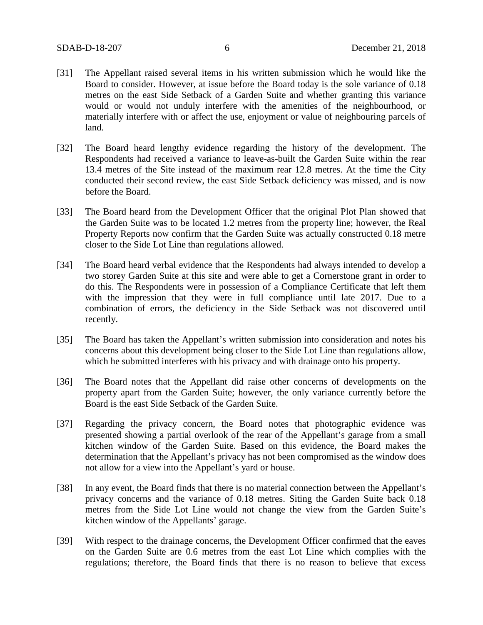- [31] The Appellant raised several items in his written submission which he would like the Board to consider. However, at issue before the Board today is the sole variance of 0.18 metres on the east Side Setback of a Garden Suite and whether granting this variance would or would not unduly interfere with the amenities of the neighbourhood, or materially interfere with or affect the use, enjoyment or value of neighbouring parcels of land.
- [32] The Board heard lengthy evidence regarding the history of the development. The Respondents had received a variance to leave-as-built the Garden Suite within the rear 13.4 metres of the Site instead of the maximum rear 12.8 metres. At the time the City conducted their second review, the east Side Setback deficiency was missed, and is now before the Board.
- [33] The Board heard from the Development Officer that the original Plot Plan showed that the Garden Suite was to be located 1.2 metres from the property line; however, the Real Property Reports now confirm that the Garden Suite was actually constructed 0.18 metre closer to the Side Lot Line than regulations allowed.
- [34] The Board heard verbal evidence that the Respondents had always intended to develop a two storey Garden Suite at this site and were able to get a Cornerstone grant in order to do this. The Respondents were in possession of a Compliance Certificate that left them with the impression that they were in full compliance until late 2017. Due to a combination of errors, the deficiency in the Side Setback was not discovered until recently.
- [35] The Board has taken the Appellant's written submission into consideration and notes his concerns about this development being closer to the Side Lot Line than regulations allow, which he submitted interferes with his privacy and with drainage onto his property.
- [36] The Board notes that the Appellant did raise other concerns of developments on the property apart from the Garden Suite; however, the only variance currently before the Board is the east Side Setback of the Garden Suite.
- [37] Regarding the privacy concern, the Board notes that photographic evidence was presented showing a partial overlook of the rear of the Appellant's garage from a small kitchen window of the Garden Suite. Based on this evidence, the Board makes the determination that the Appellant's privacy has not been compromised as the window does not allow for a view into the Appellant's yard or house.
- [38] In any event, the Board finds that there is no material connection between the Appellant's privacy concerns and the variance of 0.18 metres. Siting the Garden Suite back 0.18 metres from the Side Lot Line would not change the view from the Garden Suite's kitchen window of the Appellants' garage.
- [39] With respect to the drainage concerns, the Development Officer confirmed that the eaves on the Garden Suite are 0.6 metres from the east Lot Line which complies with the regulations; therefore, the Board finds that there is no reason to believe that excess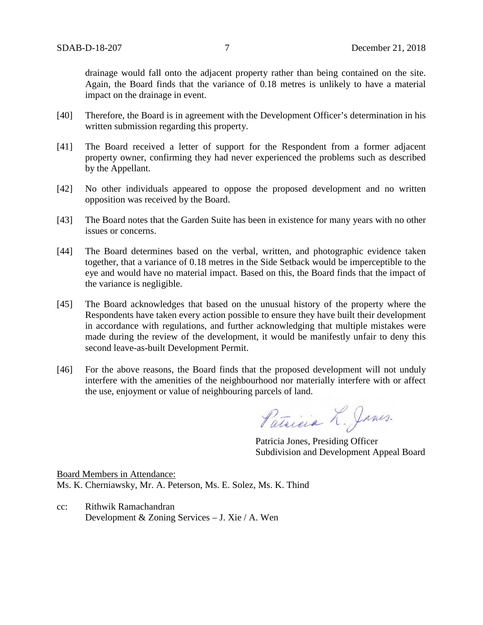drainage would fall onto the adjacent property rather than being contained on the site. Again, the Board finds that the variance of 0.18 metres is unlikely to have a material impact on the drainage in event.

- [40] Therefore, the Board is in agreement with the Development Officer's determination in his written submission regarding this property.
- [41] The Board received a letter of support for the Respondent from a former adjacent property owner, confirming they had never experienced the problems such as described by the Appellant.
- [42] No other individuals appeared to oppose the proposed development and no written opposition was received by the Board.
- [43] The Board notes that the Garden Suite has been in existence for many years with no other issues or concerns.
- [44] The Board determines based on the verbal, written, and photographic evidence taken together, that a variance of 0.18 metres in the Side Setback would be imperceptible to the eye and would have no material impact. Based on this, the Board finds that the impact of the variance is negligible.
- [45] The Board acknowledges that based on the unusual history of the property where the Respondents have taken every action possible to ensure they have built their development in accordance with regulations, and further acknowledging that multiple mistakes were made during the review of the development, it would be manifestly unfair to deny this second leave-as-built Development Permit.
- [46] For the above reasons, the Board finds that the proposed development will not unduly interfere with the amenities of the neighbourhood nor materially interfere with or affect the use, enjoyment or value of neighbouring parcels of land.

Patricia L. Janes.

Patricia Jones, Presiding Officer Subdivision and Development Appeal Board

Board Members in Attendance: Ms. K. Cherniawsky, Mr. A. Peterson, Ms. E. Solez, Ms. K. Thind

cc: Rithwik Ramachandran Development & Zoning Services – J. Xie / A. Wen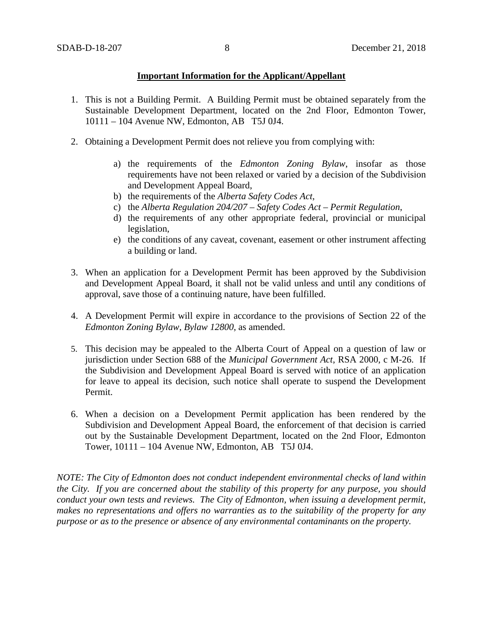### **Important Information for the Applicant/Appellant**

- 1. This is not a Building Permit. A Building Permit must be obtained separately from the Sustainable Development Department, located on the 2nd Floor, Edmonton Tower, 10111 – 104 Avenue NW, Edmonton, AB T5J 0J4.
- 2. Obtaining a Development Permit does not relieve you from complying with:
	- a) the requirements of the *Edmonton Zoning Bylaw*, insofar as those requirements have not been relaxed or varied by a decision of the Subdivision and Development Appeal Board,
	- b) the requirements of the *Alberta Safety Codes Act*,
	- c) the *Alberta Regulation 204/207 – Safety Codes Act – Permit Regulation*,
	- d) the requirements of any other appropriate federal, provincial or municipal legislation,
	- e) the conditions of any caveat, covenant, easement or other instrument affecting a building or land.
- 3. When an application for a Development Permit has been approved by the Subdivision and Development Appeal Board, it shall not be valid unless and until any conditions of approval, save those of a continuing nature, have been fulfilled.
- 4. A Development Permit will expire in accordance to the provisions of Section 22 of the *Edmonton Zoning Bylaw, Bylaw 12800*, as amended.
- 5. This decision may be appealed to the Alberta Court of Appeal on a question of law or jurisdiction under Section 688 of the *Municipal Government Act*, RSA 2000, c M-26. If the Subdivision and Development Appeal Board is served with notice of an application for leave to appeal its decision, such notice shall operate to suspend the Development Permit.
- 6. When a decision on a Development Permit application has been rendered by the Subdivision and Development Appeal Board, the enforcement of that decision is carried out by the Sustainable Development Department, located on the 2nd Floor, Edmonton Tower, 10111 – 104 Avenue NW, Edmonton, AB T5J 0J4.

*NOTE: The City of Edmonton does not conduct independent environmental checks of land within the City. If you are concerned about the stability of this property for any purpose, you should conduct your own tests and reviews. The City of Edmonton, when issuing a development permit, makes no representations and offers no warranties as to the suitability of the property for any purpose or as to the presence or absence of any environmental contaminants on the property.*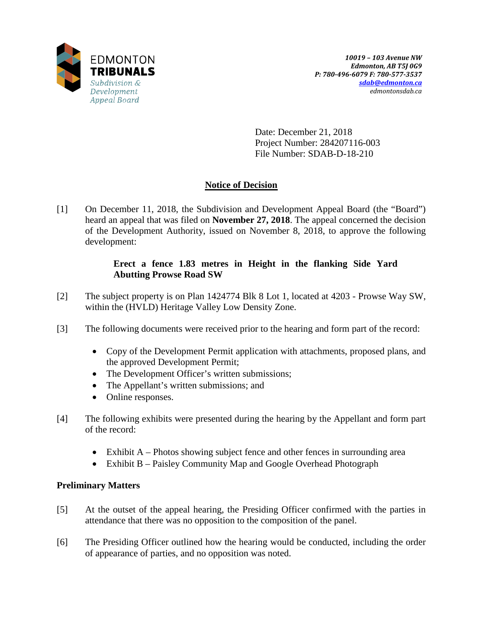

Date: December 21, 2018 Project Number: 284207116-003 File Number: SDAB-D-18-210

# **Notice of Decision**

[1] On December 11, 2018, the Subdivision and Development Appeal Board (the "Board") heard an appeal that was filed on **November 27, 2018**. The appeal concerned the decision of the Development Authority, issued on November 8, 2018, to approve the following development:

### **Erect a fence 1.83 metres in Height in the flanking Side Yard Abutting Prowse Road SW**

- [2] The subject property is on Plan 1424774 Blk 8 Lot 1, located at 4203 Prowse Way SW, within the (HVLD) Heritage Valley Low Density Zone.
- [3] The following documents were received prior to the hearing and form part of the record:
	- Copy of the Development Permit application with attachments, proposed plans, and the approved Development Permit;
	- The Development Officer's written submissions;
	- The Appellant's written submissions; and
	- Online responses.
- [4] The following exhibits were presented during the hearing by the Appellant and form part of the record:
	- Exhibit  $A$  Photos showing subject fence and other fences in surrounding area
	- Exhibit B Paisley Community Map and Google Overhead Photograph

# **Preliminary Matters**

- [5] At the outset of the appeal hearing, the Presiding Officer confirmed with the parties in attendance that there was no opposition to the composition of the panel.
- [6] The Presiding Officer outlined how the hearing would be conducted, including the order of appearance of parties, and no opposition was noted.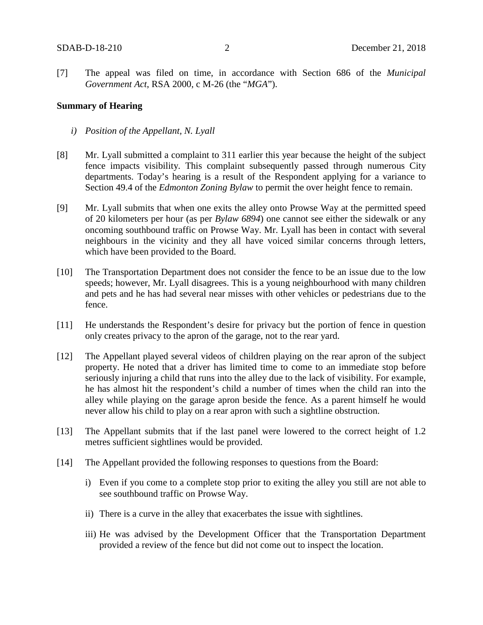[7] The appeal was filed on time, in accordance with Section 686 of the *Municipal Government Act*, RSA 2000, c M-26 (the "*MGA*").

#### **Summary of Hearing**

- *i) Position of the Appellant, N. Lyall*
- [8] Mr. Lyall submitted a complaint to 311 earlier this year because the height of the subject fence impacts visibility. This complaint subsequently passed through numerous City departments. Today's hearing is a result of the Respondent applying for a variance to Section 49.4 of the *Edmonton Zoning Bylaw* to permit the over height fence to remain.
- [9] Mr. Lyall submits that when one exits the alley onto Prowse Way at the permitted speed of 20 kilometers per hour (as per *Bylaw 6894*) one cannot see either the sidewalk or any oncoming southbound traffic on Prowse Way. Mr. Lyall has been in contact with several neighbours in the vicinity and they all have voiced similar concerns through letters, which have been provided to the Board.
- [10] The Transportation Department does not consider the fence to be an issue due to the low speeds; however, Mr. Lyall disagrees. This is a young neighbourhood with many children and pets and he has had several near misses with other vehicles or pedestrians due to the fence.
- [11] He understands the Respondent's desire for privacy but the portion of fence in question only creates privacy to the apron of the garage, not to the rear yard.
- [12] The Appellant played several videos of children playing on the rear apron of the subject property. He noted that a driver has limited time to come to an immediate stop before seriously injuring a child that runs into the alley due to the lack of visibility. For example, he has almost hit the respondent's child a number of times when the child ran into the alley while playing on the garage apron beside the fence. As a parent himself he would never allow his child to play on a rear apron with such a sightline obstruction.
- [13] The Appellant submits that if the last panel were lowered to the correct height of 1.2 metres sufficient sightlines would be provided.
- [14] The Appellant provided the following responses to questions from the Board:
	- i) Even if you come to a complete stop prior to exiting the alley you still are not able to see southbound traffic on Prowse Way.
	- ii) There is a curve in the alley that exacerbates the issue with sightlines.
	- iii) He was advised by the Development Officer that the Transportation Department provided a review of the fence but did not come out to inspect the location.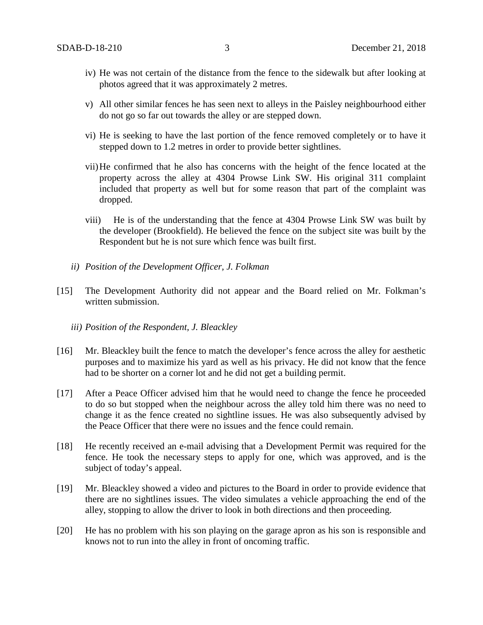- iv) He was not certain of the distance from the fence to the sidewalk but after looking at photos agreed that it was approximately 2 metres.
- v) All other similar fences he has seen next to alleys in the Paisley neighbourhood either do not go so far out towards the alley or are stepped down.
- vi) He is seeking to have the last portion of the fence removed completely or to have it stepped down to 1.2 metres in order to provide better sightlines.
- vii)He confirmed that he also has concerns with the height of the fence located at the property across the alley at 4304 Prowse Link SW. His original 311 complaint included that property as well but for some reason that part of the complaint was dropped.
- viii) He is of the understanding that the fence at 4304 Prowse Link SW was built by the developer (Brookfield). He believed the fence on the subject site was built by the Respondent but he is not sure which fence was built first.
- *ii) Position of the Development Officer, J. Folkman*
- [15] The Development Authority did not appear and the Board relied on Mr. Folkman's written submission.
	- *iii) Position of the Respondent, J. Bleackley*
- [16] Mr. Bleackley built the fence to match the developer's fence across the alley for aesthetic purposes and to maximize his yard as well as his privacy. He did not know that the fence had to be shorter on a corner lot and he did not get a building permit.
- [17] After a Peace Officer advised him that he would need to change the fence he proceeded to do so but stopped when the neighbour across the alley told him there was no need to change it as the fence created no sightline issues. He was also subsequently advised by the Peace Officer that there were no issues and the fence could remain.
- [18] He recently received an e-mail advising that a Development Permit was required for the fence. He took the necessary steps to apply for one, which was approved, and is the subject of today's appeal.
- [19] Mr. Bleackley showed a video and pictures to the Board in order to provide evidence that there are no sightlines issues. The video simulates a vehicle approaching the end of the alley, stopping to allow the driver to look in both directions and then proceeding.
- [20] He has no problem with his son playing on the garage apron as his son is responsible and knows not to run into the alley in front of oncoming traffic.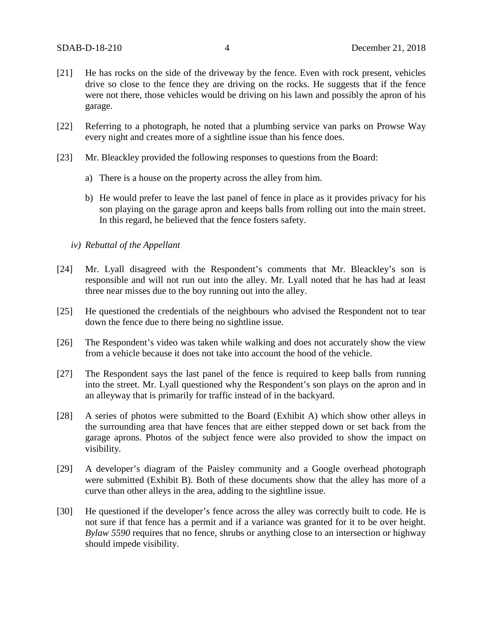- [21] He has rocks on the side of the driveway by the fence. Even with rock present, vehicles drive so close to the fence they are driving on the rocks. He suggests that if the fence were not there, those vehicles would be driving on his lawn and possibly the apron of his garage.
- [22] Referring to a photograph, he noted that a plumbing service van parks on Prowse Way every night and creates more of a sightline issue than his fence does.
- [23] Mr. Bleackley provided the following responses to questions from the Board:
	- a) There is a house on the property across the alley from him.
	- b) He would prefer to leave the last panel of fence in place as it provides privacy for his son playing on the garage apron and keeps balls from rolling out into the main street. In this regard, he believed that the fence fosters safety.
	- *iv) Rebuttal of the Appellant*
- [24] Mr. Lyall disagreed with the Respondent's comments that Mr. Bleackley's son is responsible and will not run out into the alley. Mr. Lyall noted that he has had at least three near misses due to the boy running out into the alley.
- [25] He questioned the credentials of the neighbours who advised the Respondent not to tear down the fence due to there being no sightline issue.
- [26] The Respondent's video was taken while walking and does not accurately show the view from a vehicle because it does not take into account the hood of the vehicle.
- [27] The Respondent says the last panel of the fence is required to keep balls from running into the street. Mr. Lyall questioned why the Respondent's son plays on the apron and in an alleyway that is primarily for traffic instead of in the backyard.
- [28] A series of photos were submitted to the Board (Exhibit A) which show other alleys in the surrounding area that have fences that are either stepped down or set back from the garage aprons. Photos of the subject fence were also provided to show the impact on visibility.
- [29] A developer's diagram of the Paisley community and a Google overhead photograph were submitted (Exhibit B). Both of these documents show that the alley has more of a curve than other alleys in the area, adding to the sightline issue.
- [30] He questioned if the developer's fence across the alley was correctly built to code. He is not sure if that fence has a permit and if a variance was granted for it to be over height. *Bylaw 5590* requires that no fence, shrubs or anything close to an intersection or highway should impede visibility.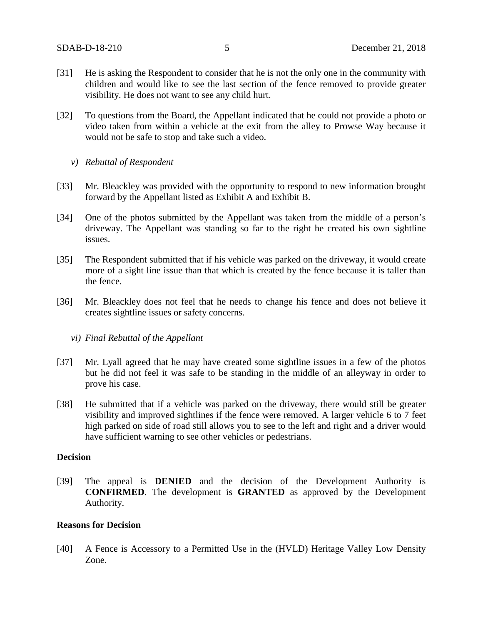- [31] He is asking the Respondent to consider that he is not the only one in the community with children and would like to see the last section of the fence removed to provide greater visibility. He does not want to see any child hurt.
- [32] To questions from the Board, the Appellant indicated that he could not provide a photo or video taken from within a vehicle at the exit from the alley to Prowse Way because it would not be safe to stop and take such a video.
	- *v) Rebuttal of Respondent*
- [33] Mr. Bleackley was provided with the opportunity to respond to new information brought forward by the Appellant listed as Exhibit A and Exhibit B.
- [34] One of the photos submitted by the Appellant was taken from the middle of a person's driveway. The Appellant was standing so far to the right he created his own sightline issues.
- [35] The Respondent submitted that if his vehicle was parked on the driveway, it would create more of a sight line issue than that which is created by the fence because it is taller than the fence.
- [36] Mr. Bleackley does not feel that he needs to change his fence and does not believe it creates sightline issues or safety concerns.
	- *vi) Final Rebuttal of the Appellant*
- [37] Mr. Lyall agreed that he may have created some sightline issues in a few of the photos but he did not feel it was safe to be standing in the middle of an alleyway in order to prove his case.
- [38] He submitted that if a vehicle was parked on the driveway, there would still be greater visibility and improved sightlines if the fence were removed. A larger vehicle 6 to 7 feet high parked on side of road still allows you to see to the left and right and a driver would have sufficient warning to see other vehicles or pedestrians.

### **Decision**

[39] The appeal is **DENIED** and the decision of the Development Authority is **CONFIRMED**. The development is **GRANTED** as approved by the Development Authority.

### **Reasons for Decision**

[40] A Fence is Accessory to a Permitted Use in the (HVLD) Heritage Valley Low Density Zone.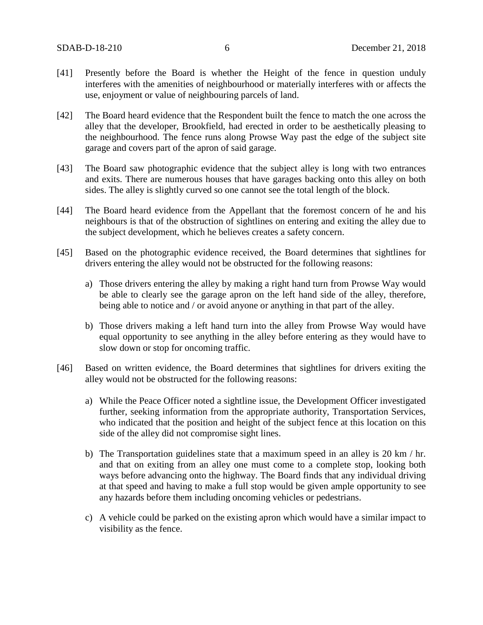- [41] Presently before the Board is whether the Height of the fence in question unduly interferes with the amenities of neighbourhood or materially interferes with or affects the use, enjoyment or value of neighbouring parcels of land.
- [42] The Board heard evidence that the Respondent built the fence to match the one across the alley that the developer, Brookfield, had erected in order to be aesthetically pleasing to the neighbourhood. The fence runs along Prowse Way past the edge of the subject site garage and covers part of the apron of said garage.
- [43] The Board saw photographic evidence that the subject alley is long with two entrances and exits. There are numerous houses that have garages backing onto this alley on both sides. The alley is slightly curved so one cannot see the total length of the block.
- [44] The Board heard evidence from the Appellant that the foremost concern of he and his neighbours is that of the obstruction of sightlines on entering and exiting the alley due to the subject development, which he believes creates a safety concern.
- [45] Based on the photographic evidence received, the Board determines that sightlines for drivers entering the alley would not be obstructed for the following reasons:
	- a) Those drivers entering the alley by making a right hand turn from Prowse Way would be able to clearly see the garage apron on the left hand side of the alley, therefore, being able to notice and / or avoid anyone or anything in that part of the alley.
	- b) Those drivers making a left hand turn into the alley from Prowse Way would have equal opportunity to see anything in the alley before entering as they would have to slow down or stop for oncoming traffic.
- [46] Based on written evidence, the Board determines that sightlines for drivers exiting the alley would not be obstructed for the following reasons:
	- a) While the Peace Officer noted a sightline issue, the Development Officer investigated further, seeking information from the appropriate authority, Transportation Services, who indicated that the position and height of the subject fence at this location on this side of the alley did not compromise sight lines.
	- b) The Transportation guidelines state that a maximum speed in an alley is 20 km  $/$  hr. and that on exiting from an alley one must come to a complete stop, looking both ways before advancing onto the highway. The Board finds that any individual driving at that speed and having to make a full stop would be given ample opportunity to see any hazards before them including oncoming vehicles or pedestrians.
	- c) A vehicle could be parked on the existing apron which would have a similar impact to visibility as the fence.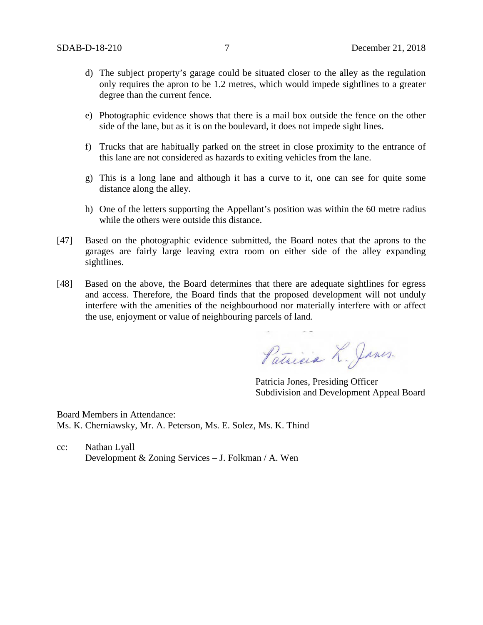- d) The subject property's garage could be situated closer to the alley as the regulation only requires the apron to be 1.2 metres, which would impede sightlines to a greater degree than the current fence.
- e) Photographic evidence shows that there is a mail box outside the fence on the other side of the lane, but as it is on the boulevard, it does not impede sight lines.
- f) Trucks that are habitually parked on the street in close proximity to the entrance of this lane are not considered as hazards to exiting vehicles from the lane.
- g) This is a long lane and although it has a curve to it, one can see for quite some distance along the alley.
- h) One of the letters supporting the Appellant's position was within the 60 metre radius while the others were outside this distance.
- [47] Based on the photographic evidence submitted, the Board notes that the aprons to the garages are fairly large leaving extra room on either side of the alley expanding sightlines.
- [48] Based on the above, the Board determines that there are adequate sightlines for egress and access. Therefore, the Board finds that the proposed development will not unduly interfere with the amenities of the neighbourhood nor materially interfere with or affect the use, enjoyment or value of neighbouring parcels of land.

Patricia L. Janes.

Patricia Jones, Presiding Officer Subdivision and Development Appeal Board

Board Members in Attendance: Ms. K. Cherniawsky, Mr. A. Peterson, Ms. E. Solez, Ms. K. Thind

cc: Nathan Lyall Development & Zoning Services – J. Folkman / A. Wen